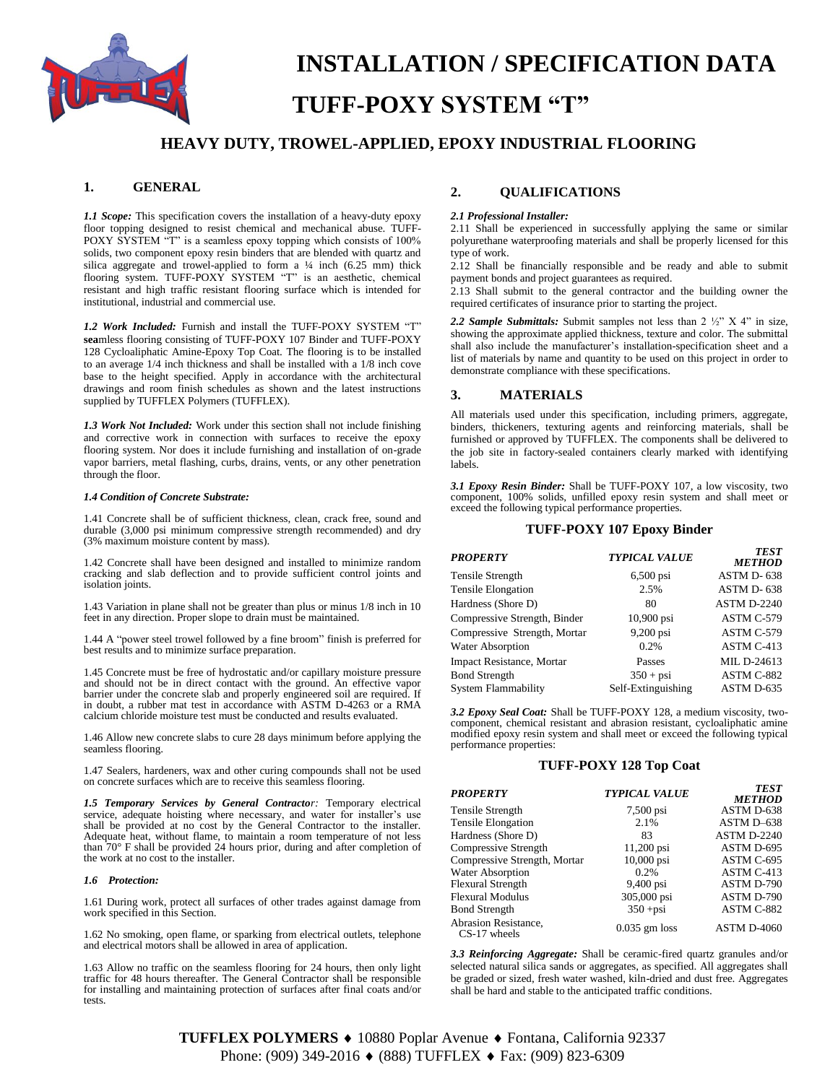

# **INSTALLATION / SPECIFICATION DATA TUFF-POXY SYSTEM "T"**

# **HEAVY DUTY, TROWEL-APPLIED, EPOXY INDUSTRIAL FLOORING**

#### **1. GENERAL**

*1.1 Scope:* This specification covers the installation of a heavy-duty epoxy floor topping designed to resist chemical and mechanical abuse. TUFF-POXY SYSTEM "T" is a seamless epoxy topping which consists of 100% solids, two component epoxy resin binders that are blended with quartz and silica aggregate and trowel-applied to form a  $\frac{1}{4}$  inch (6.25 mm) thick flooring system. TUFF-POXY SYSTEM "T" is an aesthetic, chemical resistant and high traffic resistant flooring surface which is intended for institutional, industrial and commercial use.

*1.2 Work Included:* Furnish and install the TUFF-POXY SYSTEM "T" **sea**mless flooring consisting of TUFF-POXY 107 Binder and TUFF-POXY 128 Cycloaliphatic Amine-Epoxy Top Coat. The flooring is to be installed to an average 1/4 inch thickness and shall be installed with a 1/8 inch cove base to the height specified. Apply in accordance with the architectural drawings and room finish schedules as shown and the latest instructions supplied by TUFFLEX Polymers (TUFFLEX).

*1.3 Work Not Included:* Work under this section shall not include finishing and corrective work in connection with surfaces to receive the epoxy flooring system. Nor does it include furnishing and installation of on-grade vapor barriers, metal flashing, curbs, drains, vents, or any other penetration through the floor.

#### *1.4 Condition of Concrete Substrate:*

1.41 Concrete shall be of sufficient thickness, clean, crack free, sound and durable (3,000 psi minimum compressive strength recommended) and dry (3% maximum moisture content by mass).

1.42 Concrete shall have been designed and installed to minimize random cracking and slab deflection and to provide sufficient control joints and isolation joints.

1.43 Variation in plane shall not be greater than plus or minus 1/8 inch in 10 feet in any direction. Proper slope to drain must be maintained.

1.44 A "power steel trowel followed by a fine broom" finish is preferred for best results and to minimize surface preparation.

1.45 Concrete must be free of hydrostatic and/or capillary moisture pressure and should not be in direct contact with the ground. An effective vapor barrier under the concrete slab and properly engineered soil are required. If in doubt, a rubber mat test in accordance with ASTM D-4263 or a RMA calcium chloride moisture test must be conducted and results evaluated.

1.46 Allow new concrete slabs to cure 28 days minimum before applying the seamless flooring.

1.47 Sealers, hardeners, wax and other curing compounds shall not be used on concrete surfaces which are to receive this seamless flooring.

*1.5 Temporary Services by General Contractor:* Temporary electrical service, adequate hoisting where necessary, and water for installer's use shall be provided at no cost by the General Contractor to the installer. Adequate heat, without flame, to maintain a room temperature of not less than 70° F shall be provided 24 hours prior, during and after completion of the work at no cost to the installer.

#### *1.6 Protection:*

1.61 During work, protect all surfaces of other trades against damage from work specified in this Section.

1.62 No smoking, open flame, or sparking from electrical outlets, telephone and electrical motors shall be allowed in area of application.

1.63 Allow no traffic on the seamless flooring for 24 hours, then only light traffic for 48 hours thereafter. The General Contractor shall be responsible for installing and maintaining protection of surfaces after final coats and/or tests.

# **2. QUALIFICATIONS**

#### *2.1 Professional Installer:*

2.11 Shall be experienced in successfully applying the same or similar polyurethane waterproofing materials and shall be properly licensed for this type of work.

2.12 Shall be financially responsible and be ready and able to submit payment bonds and project guarantees as required.

2.13 Shall submit to the general contractor and the building owner the required certificates of insurance prior to starting the project.

*2.2 Sample Submittals:* Submit samples not less than 2 ½" X 4" in size, showing the approximate applied thickness, texture and color. The submittal shall also include the manufacturer's installation-specification sheet and a list of materials by name and quantity to be used on this project in order to demonstrate compliance with these specifications.

#### **3. MATERIALS**

All materials used under this specification, including primers, aggregate, binders, thickeners, texturing agents and reinforcing materials, shall be furnished or approved by TUFFLEX. The components shall be delivered to the job site in factory-sealed containers clearly marked with identifying labels.

*3.1 Epoxy Resin Binder:* Shall be TUFF-POXY 107, a low viscosity, two component, 100% solids, unfilled epoxy resin system and shall meet or exceed the following typical performance properties.

#### **TUFF-POXY 107 Epoxy Binder**

| <b>PROPERTY</b>                  | <b>TYPICAL VALUE</b> | <b>TEST</b><br><b>METHOD</b> |
|----------------------------------|----------------------|------------------------------|
| Tensile Strength                 | $6,500$ psi          | ASTM D-638                   |
| <b>Tensile Elongation</b>        | 2.5%                 | ASTM D-638                   |
| Hardness (Shore D)               | 80                   | <b>ASTM D-2240</b>           |
| Compressive Strength, Binder     | $10,900$ psi         | ASTM C-579                   |
| Compressive Strength, Mortar     | 9,200 psi            | ASTM C-579                   |
| Water Absorption                 | 0.2%                 | ASTM C-413                   |
| <b>Impact Resistance, Mortar</b> | Passes               | MIL D-24613                  |
| <b>Bond Strength</b>             | $350 + psi$          | ASTM C-882                   |
| System Flammability              | Self-Extinguishing   | ASTM D-635                   |

*3.2 Epoxy Seal Coat:* Shall be TUFF-POXY 128, a medium viscosity, twocomponent, chemical resistant and abrasion resistant, cycloaliphatic amine modified epoxy resin system and shall meet or exceed the following typical performance properties:

#### **TUFF-POXY 128 Top Coat**

| PROPERTY                                      | <b>TYPICAL VALUE</b> | <b>TEST</b><br><b>METHOD</b> |
|-----------------------------------------------|----------------------|------------------------------|
| Tensile Strength                              | 7,500 psi            | ASTM D-638                   |
| <b>Tensile Elongation</b>                     | 2.1%                 | ASTM D-638                   |
| Hardness (Shore D)                            | 83                   | ASTM D-2240                  |
| Compressive Strength                          | 11,200 psi           | ASTM D-695                   |
| Compressive Strength, Mortar                  | $10,000$ psi         | ASTM C-695                   |
| <b>Water Absorption</b>                       | 0.2%                 | ASTM C-413                   |
| Flexural Strength                             | 9,400 psi            | ASTM D-790                   |
| Flexural Modulus                              | 305,000 psi          | ASTM D-790                   |
| <b>Bond Strength</b>                          | $350 + psi$          | ASTM C-882                   |
| <b>Abrasion Resistance,</b><br>$CS-17$ wheels | $0.035$ gm loss      | <b>ASTM D-4060</b>           |

*3.3 Reinforcing Aggregate:* Shall be ceramic-fired quartz granules and/or selected natural silica sands or aggregates, as specified. All aggregates shall be graded or sized, fresh water washed, kiln-dried and dust free. Aggregates shall be hard and stable to the anticipated traffic conditions.

**TUFFLEX POLYMERS ♦ 10880 Poplar Avenue ♦ Fontana, California 92337** Phone: (909) 349-2016 ♦ (888) TUFFLEX ♦ Fax: (909) 823-6309